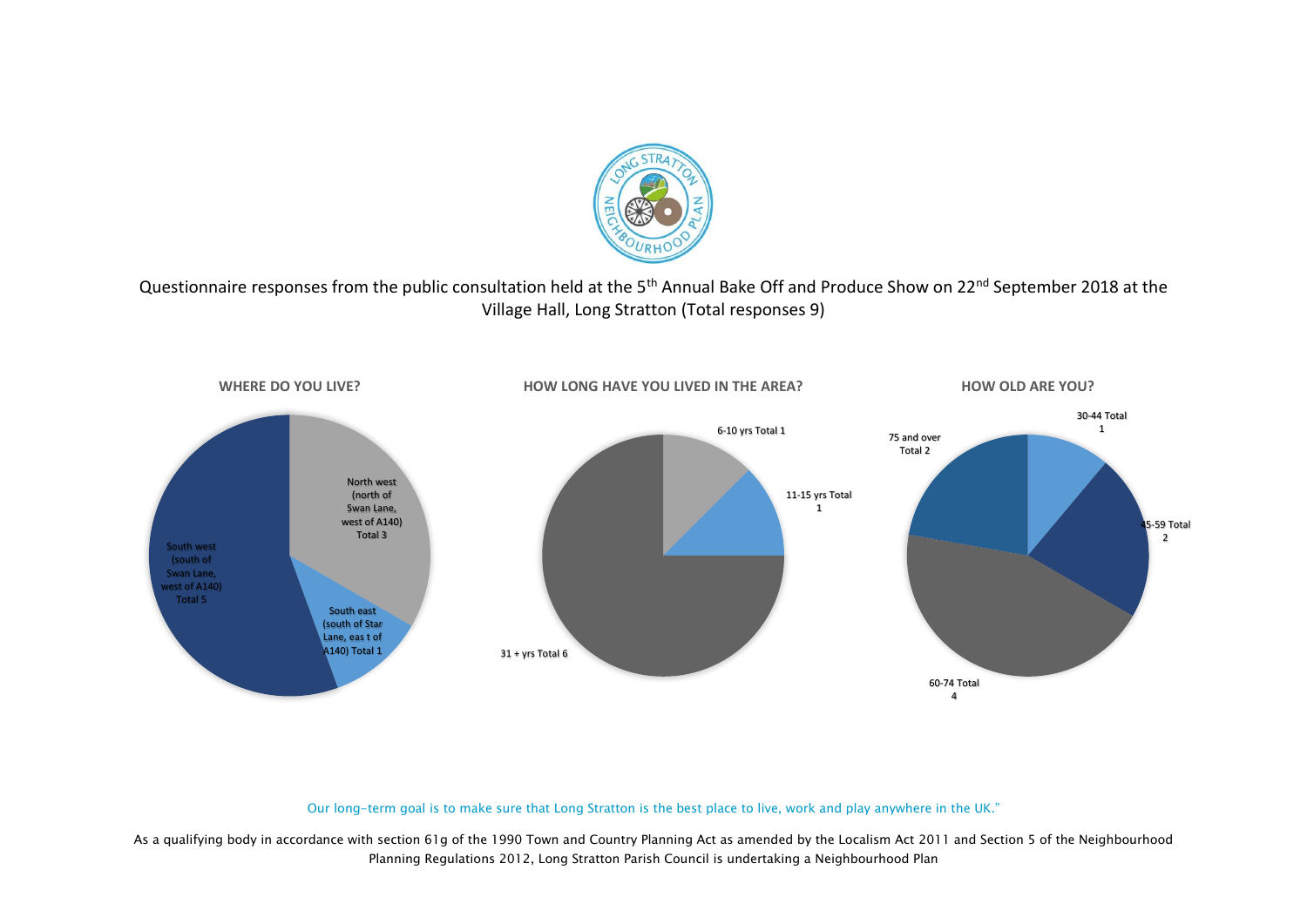

Questionnaire responses from the public consultation held at the 5<sup>th</sup> Annual Bake Off and Produce Show on 22<sup>nd</sup> September 2018 at the Village Hall, Long Stratton (Total responses 9)



#### Our long-term goal is to make sure that Long Stratton is the best place to live, work and play anywhere in the UK."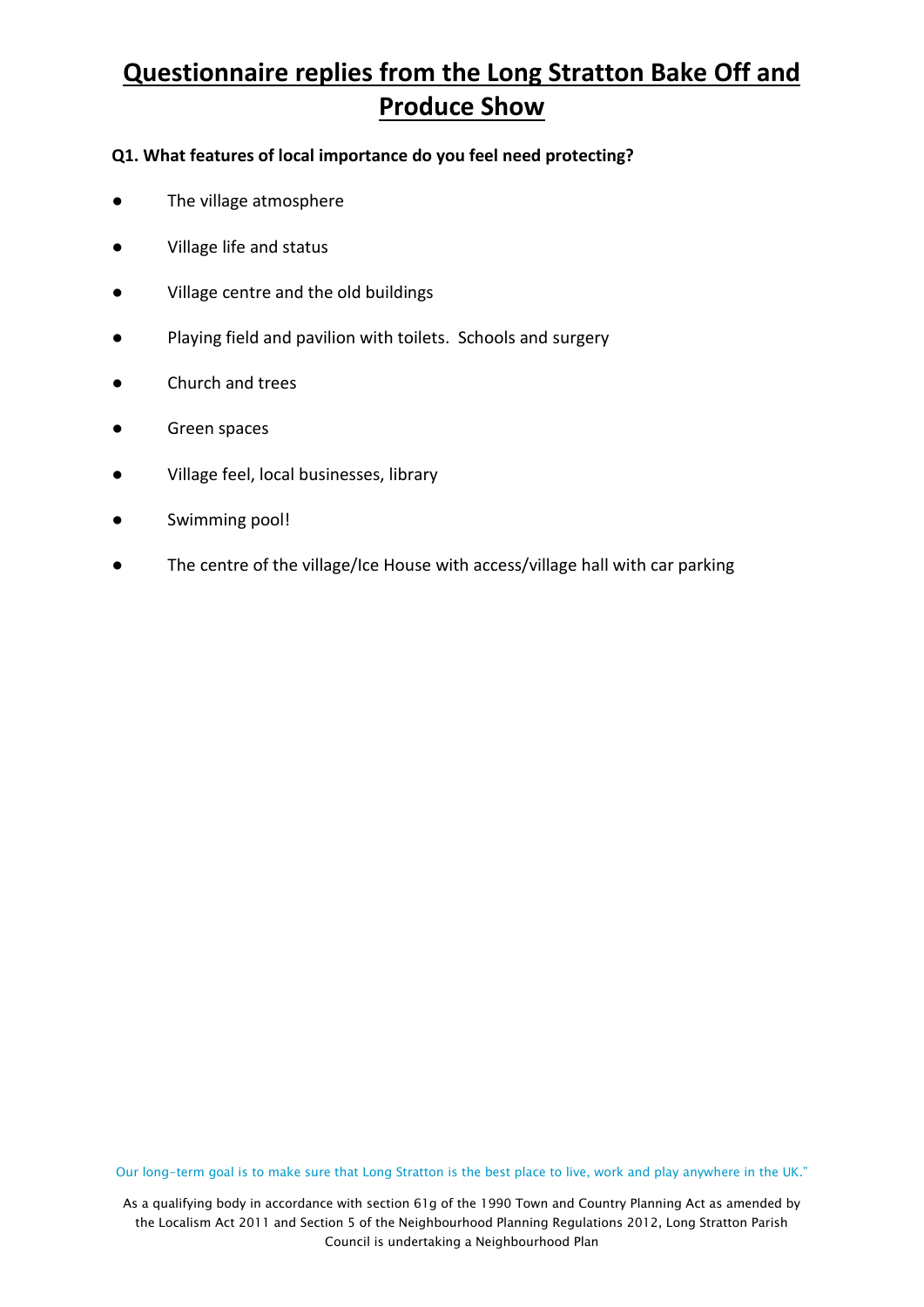### **Q1. What features of local importance do you feel need protecting?**

- The village atmosphere
- Village life and status
- Village centre and the old buildings
- Playing field and pavilion with toilets. Schools and surgery
- Church and trees
- Green spaces
- Village feel, local businesses, library
- Swimming pool!
- The centre of the village/Ice House with access/village hall with car parking

Our long-term goal is to make sure that Long Stratton is the best place to live, work and play anywhere in the UK."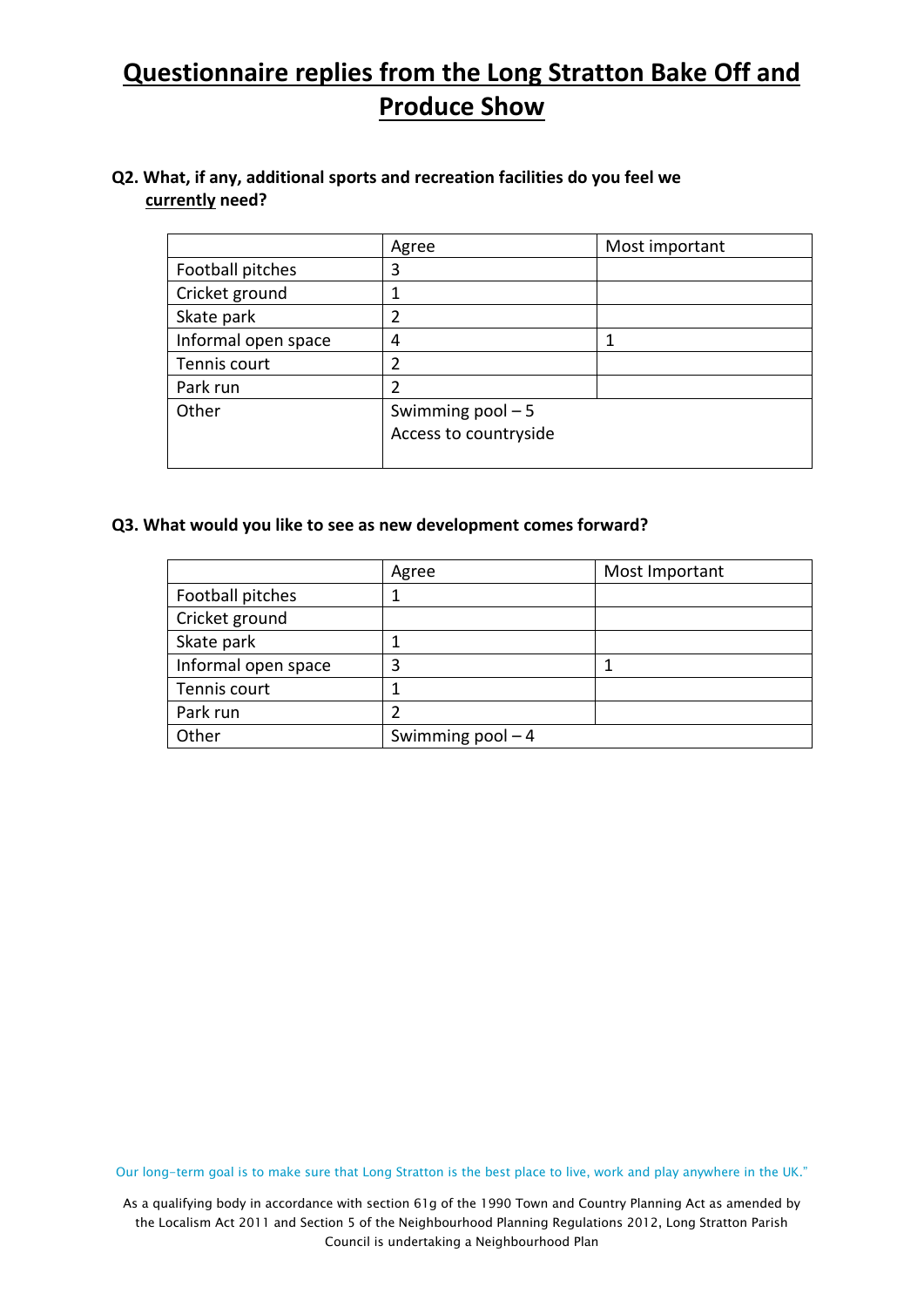### **Q2. What, if any, additional sports and recreation facilities do you feel we currently need?**

|                     | Agree                 | Most important |
|---------------------|-----------------------|----------------|
| Football pitches    | 3                     |                |
| Cricket ground      | 1                     |                |
| Skate park          | $\overline{2}$        |                |
| Informal open space | 4                     |                |
| Tennis court        | $\overline{2}$        |                |
| Park run            | 2                     |                |
| Other               | Swimming $pool - 5$   |                |
|                     | Access to countryside |                |
|                     |                       |                |

#### **Q3. What would you like to see as new development comes forward?**

|                     | Agree               | Most Important |
|---------------------|---------------------|----------------|
| Football pitches    |                     |                |
| Cricket ground      |                     |                |
| Skate park          |                     |                |
| Informal open space | 3                   |                |
| Tennis court        |                     |                |
| Park run            |                     |                |
| Other               | Swimming $pool - 4$ |                |

Our long-term goal is to make sure that Long Stratton is the best place to live, work and play anywhere in the UK."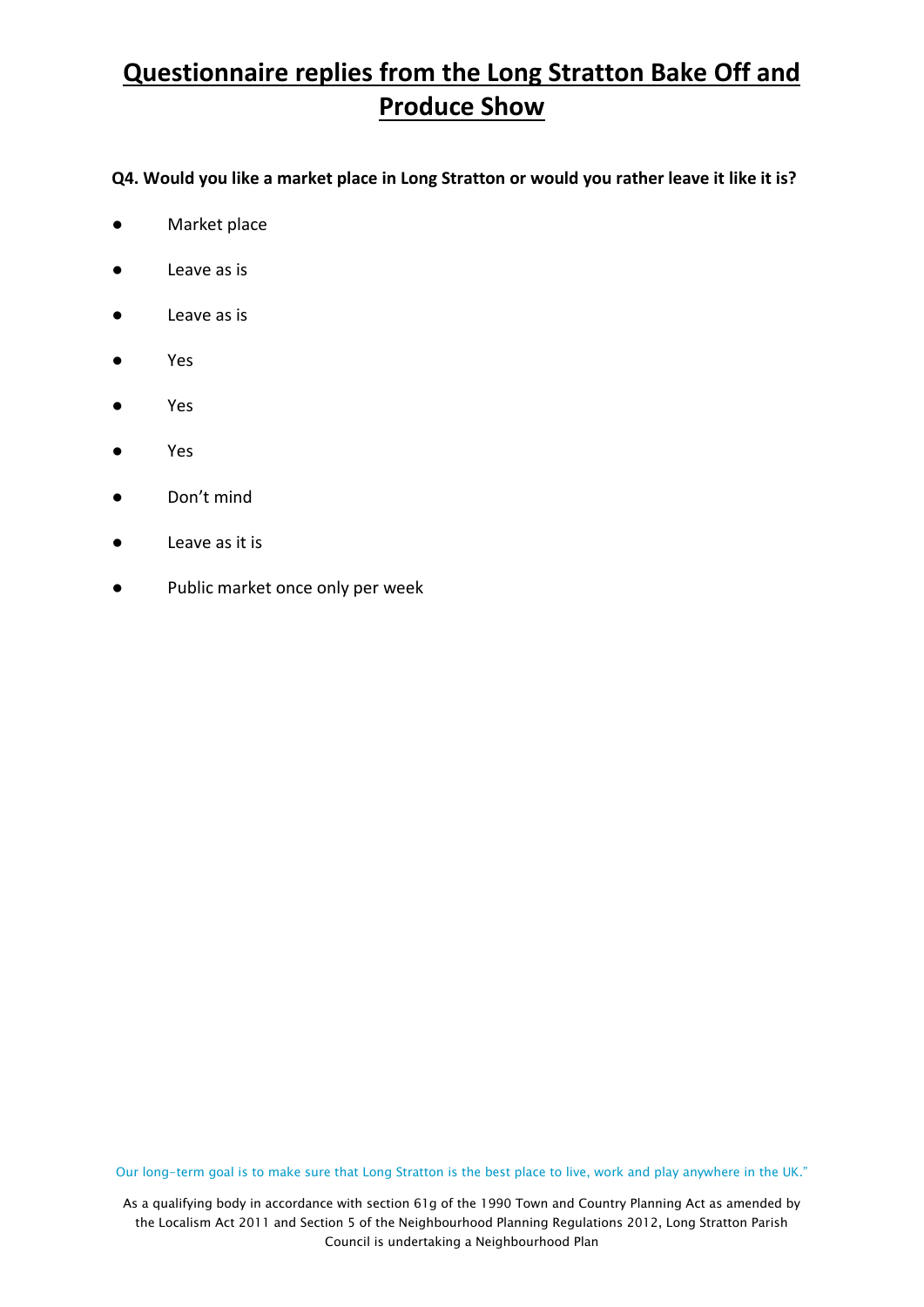### **Q4. Would you like a market place in Long Stratton or would you rather leave it like it is?**

- **●** Market place
- Leave as is
- Leave as is
- Yes
- Yes
- Yes
- Don't mind
- Leave as it is
- Public market once only per week

Our long-term goal is to make sure that Long Stratton is the best place to live, work and play anywhere in the UK."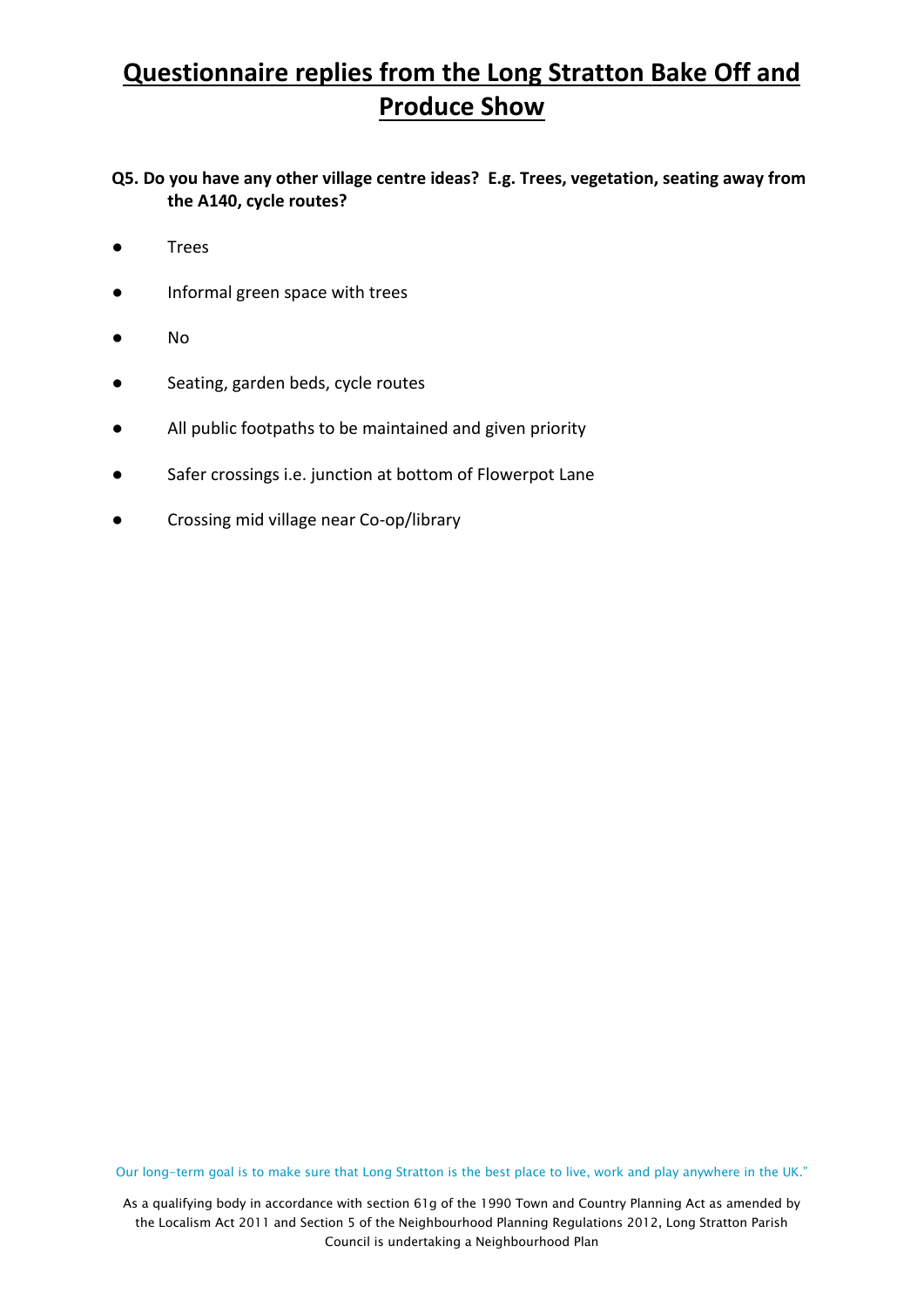**Q5. Do you have any other village centre ideas? E.g. Trees, vegetation, seating away from the A140, cycle routes?**

- Trees
- Informal green space with trees
- No
- Seating, garden beds, cycle routes
- All public footpaths to be maintained and given priority
- Safer crossings i.e. junction at bottom of Flowerpot Lane
- Crossing mid village near Co-op/library

Our long-term goal is to make sure that Long Stratton is the best place to live, work and play anywhere in the UK."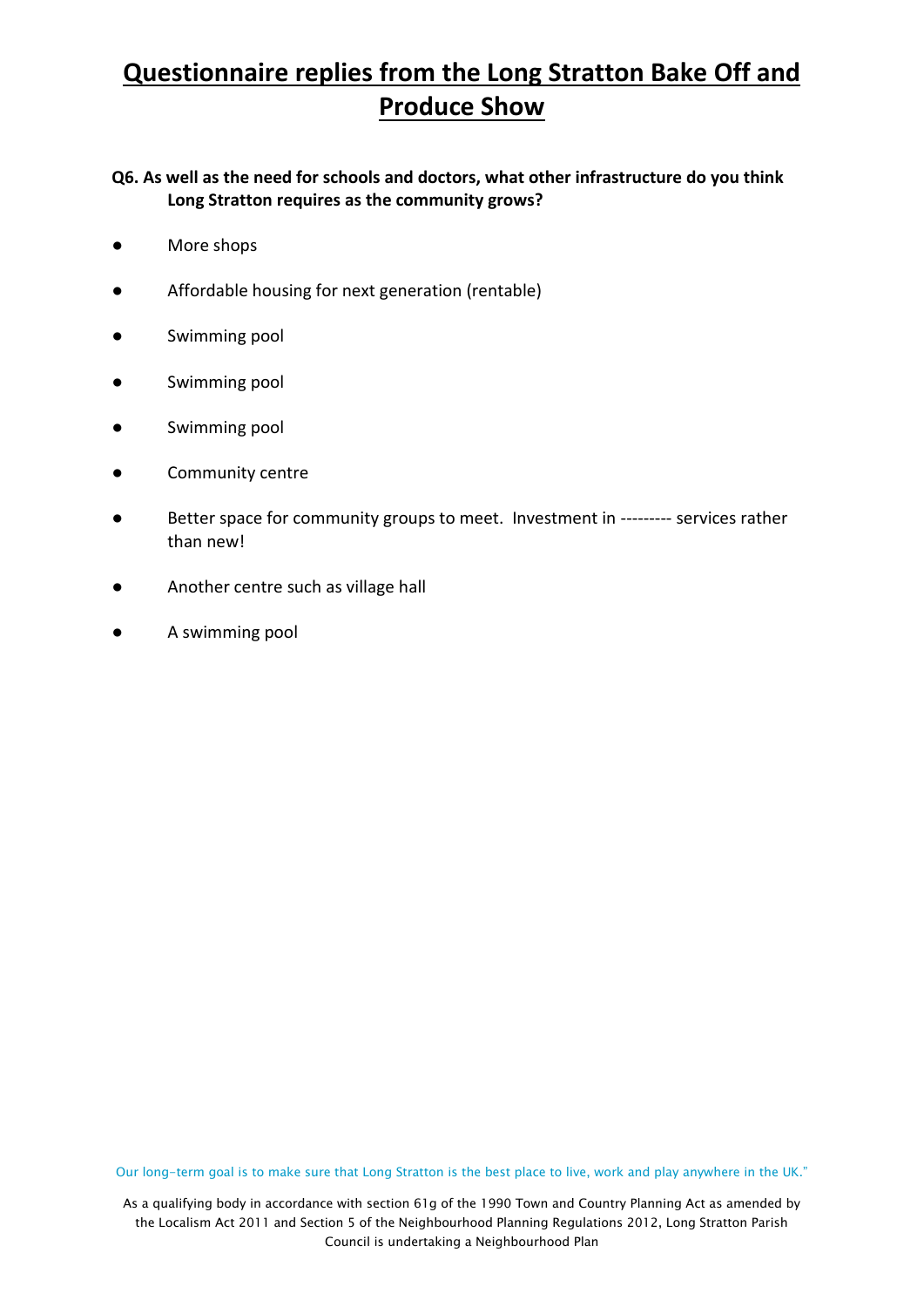**Q6. As well as the need for schools and doctors, what other infrastructure do you think Long Stratton requires as the community grows?**

- More shops
- Affordable housing for next generation (rentable)
- Swimming pool
- Swimming pool
- Swimming pool
- Community centre
- Better space for community groups to meet. Investment in --------- services rather than new!
- Another centre such as village hall
- A swimming pool

Our long-term goal is to make sure that Long Stratton is the best place to live, work and play anywhere in the UK."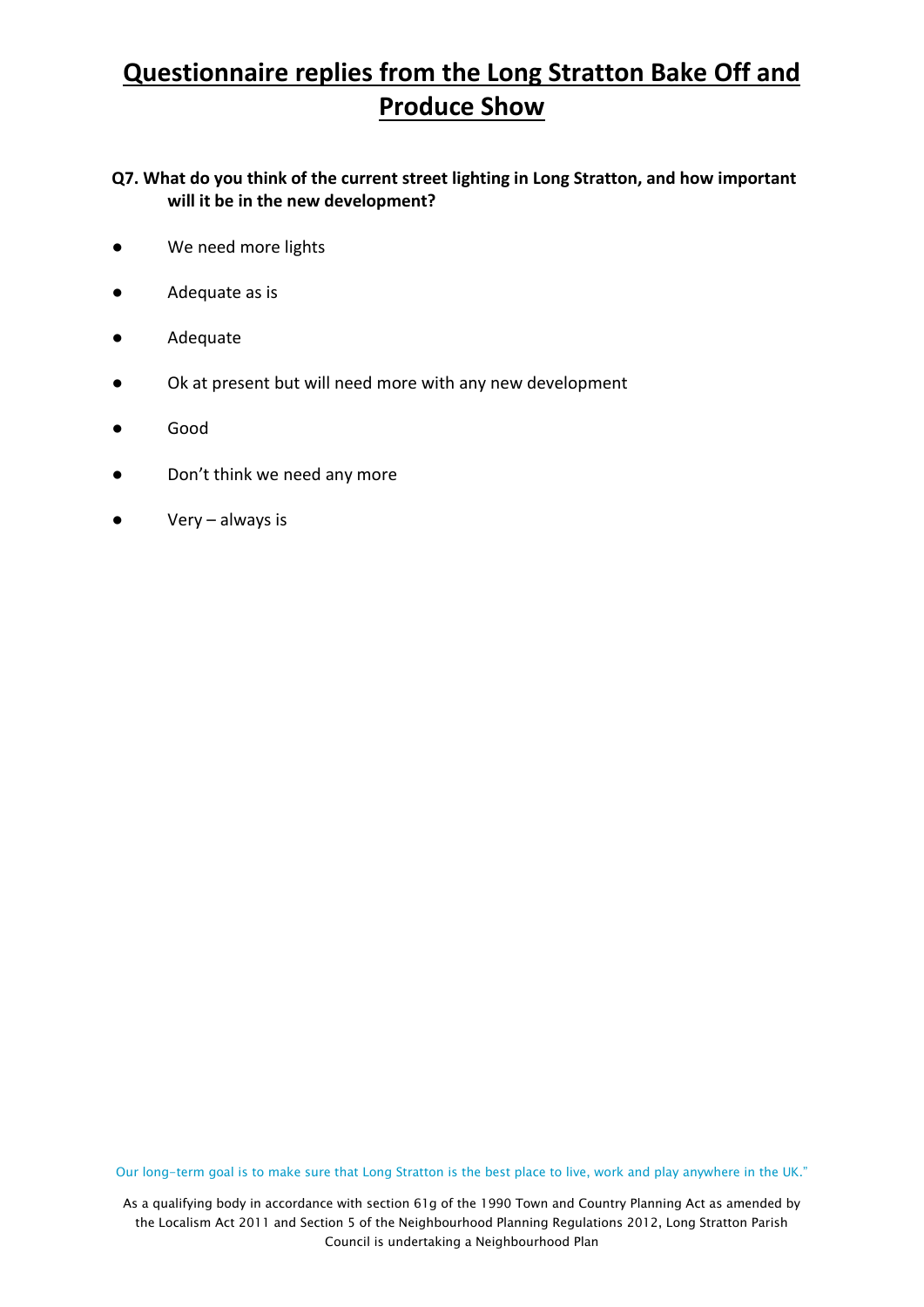**Q7. What do you think of the current street lighting in Long Stratton, and how important will it be in the new development?**

- We need more lights
- Adequate as is
- Adequate
- Ok at present but will need more with any new development
- Good
- Don't think we need any more
- Very always is

Our long-term goal is to make sure that Long Stratton is the best place to live, work and play anywhere in the UK."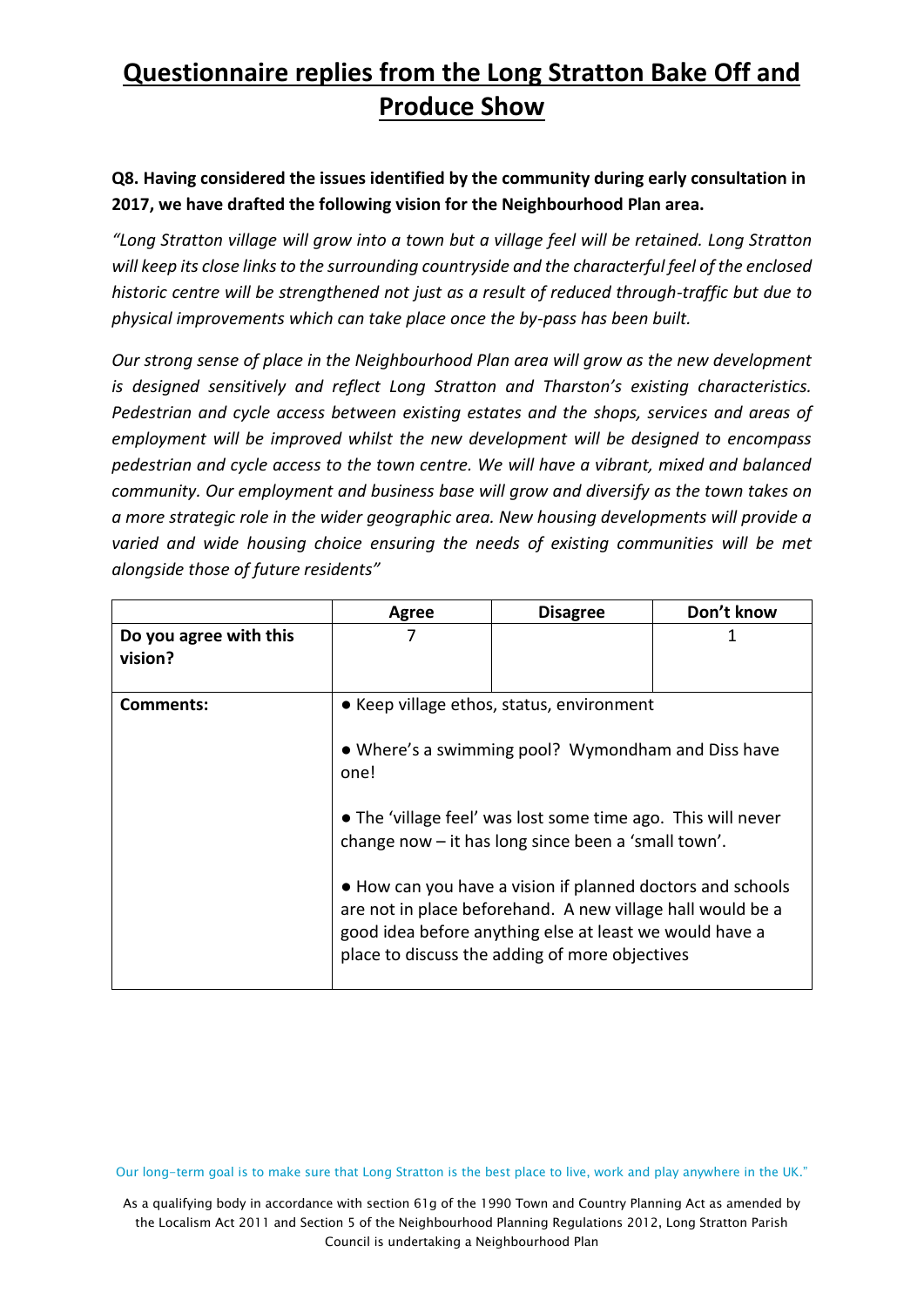### **Q8. Having considered the issues identified by the community during early consultation in 2017, we have drafted the following vision for the Neighbourhood Plan area.**

*"Long Stratton village will grow into a town but a village feel will be retained. Long Stratton will keep its close links to the surrounding countryside and the characterful feel of the enclosed historic centre will be strengthened not just as a result of reduced through-traffic but due to physical improvements which can take place once the by-pass has been built.*

*Our strong sense of place in the Neighbourhood Plan area will grow as the new development is designed sensitively and reflect Long Stratton and Tharston's existing characteristics. Pedestrian and cycle access between existing estates and the shops, services and areas of employment will be improved whilst the new development will be designed to encompass pedestrian and cycle access to the town centre. We will have a vibrant, mixed and balanced community. Our employment and business base will grow and diversify as the town takes on a more strategic role in the wider geographic area. New housing developments will provide a varied and wide housing choice ensuring the needs of existing communities will be met alongside those of future residents"*

|                                   | Agree                                                                                                                                                                                                                                                                                                      | <b>Disagree</b>                                | Don't know |  |  |
|-----------------------------------|------------------------------------------------------------------------------------------------------------------------------------------------------------------------------------------------------------------------------------------------------------------------------------------------------------|------------------------------------------------|------------|--|--|
| Do you agree with this<br>vision? |                                                                                                                                                                                                                                                                                                            |                                                | 1          |  |  |
| Comments:                         | • Keep village ethos, status, environment<br>• Where's a swimming pool? Wymondham and Diss have<br>one!                                                                                                                                                                                                    |                                                |            |  |  |
|                                   | • The 'village feel' was lost some time ago. This will never<br>change now - it has long since been a 'small town'.<br>• How can you have a vision if planned doctors and schools<br>are not in place beforehand. A new village hall would be a<br>good idea before anything else at least we would have a |                                                |            |  |  |
|                                   |                                                                                                                                                                                                                                                                                                            | place to discuss the adding of more objectives |            |  |  |

Our long-term goal is to make sure that Long Stratton is the best place to live, work and play anywhere in the UK."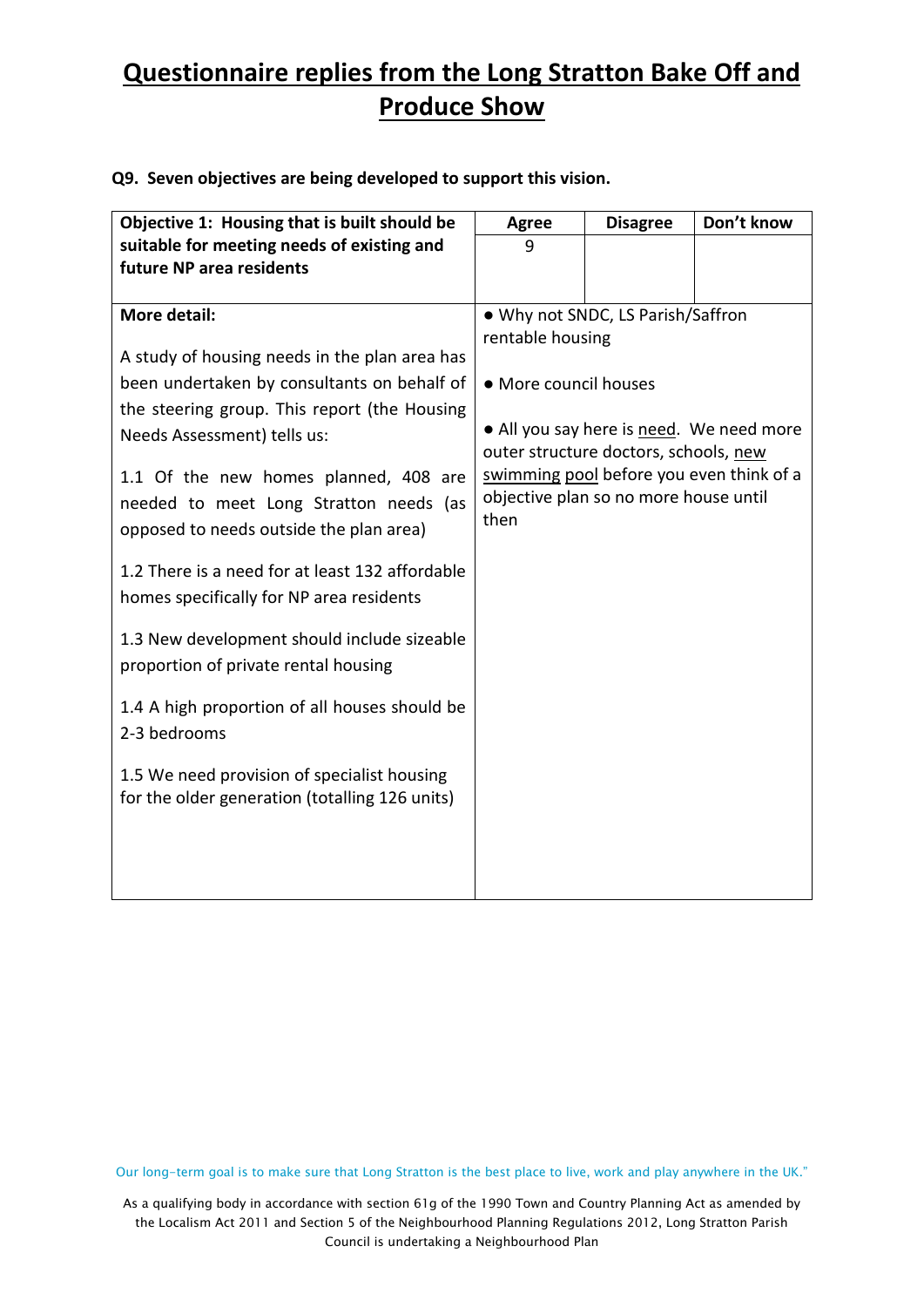| Objective 1: Housing that is built should be                                                                                                                                                                                                                                                                                                                                                                                                                                                                                                                                                                                                                                      | <b>Agree</b>                                      | <b>Disagree</b>                                                                                                     | Don't know                                                                           |
|-----------------------------------------------------------------------------------------------------------------------------------------------------------------------------------------------------------------------------------------------------------------------------------------------------------------------------------------------------------------------------------------------------------------------------------------------------------------------------------------------------------------------------------------------------------------------------------------------------------------------------------------------------------------------------------|---------------------------------------------------|---------------------------------------------------------------------------------------------------------------------|--------------------------------------------------------------------------------------|
| suitable for meeting needs of existing and<br>future NP area residents                                                                                                                                                                                                                                                                                                                                                                                                                                                                                                                                                                                                            | 9                                                 |                                                                                                                     |                                                                                      |
| More detail:<br>A study of housing needs in the plan area has<br>been undertaken by consultants on behalf of<br>the steering group. This report (the Housing<br>Needs Assessment) tells us:<br>1.1 Of the new homes planned, 408 are<br>needed to meet Long Stratton needs (as<br>opposed to needs outside the plan area)<br>1.2 There is a need for at least 132 affordable<br>homes specifically for NP area residents<br>1.3 New development should include sizeable<br>proportion of private rental housing<br>1.4 A high proportion of all houses should be<br>2-3 bedrooms<br>1.5 We need provision of specialist housing<br>for the older generation (totalling 126 units) | rentable housing<br>• More council houses<br>then | . Why not SNDC, LS Parish/Saffron<br>outer structure doctors, schools, new<br>objective plan so no more house until | • All you say here is need. We need more<br>swimming pool before you even think of a |
|                                                                                                                                                                                                                                                                                                                                                                                                                                                                                                                                                                                                                                                                                   |                                                   |                                                                                                                     |                                                                                      |

### **Q9. Seven objectives are being developed to support this vision.**

Our long-term goal is to make sure that Long Stratton is the best place to live, work and play anywhere in the UK."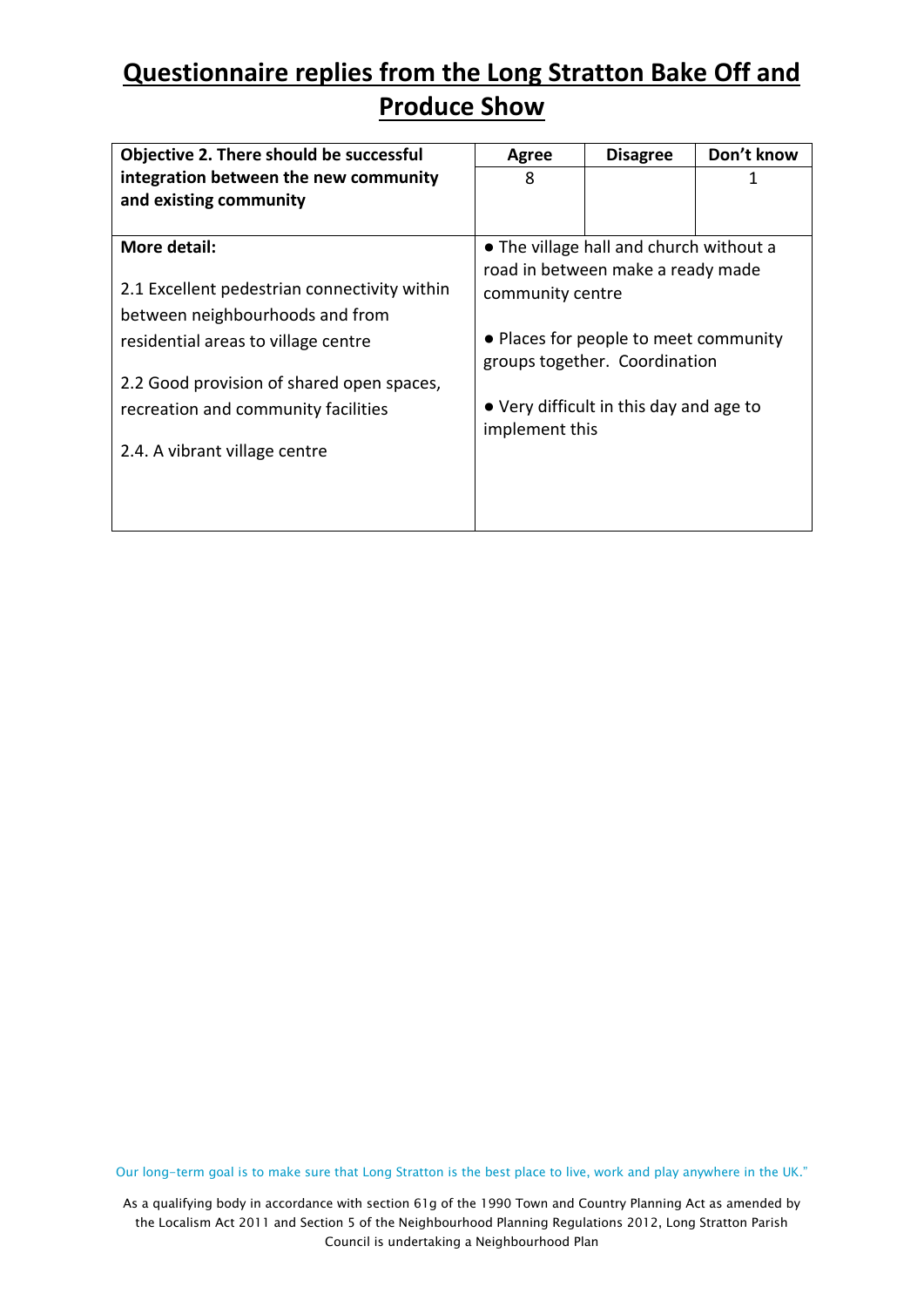| Objective 2. There should be successful      | Agree            | <b>Disagree</b>                         | Don't know |  |  |
|----------------------------------------------|------------------|-----------------------------------------|------------|--|--|
| integration between the new community        | 8                |                                         | 1          |  |  |
| and existing community                       |                  |                                         |            |  |  |
|                                              |                  |                                         |            |  |  |
| More detail:                                 |                  | • The village hall and church without a |            |  |  |
|                                              |                  | road in between make a ready made       |            |  |  |
| 2.1 Excellent pedestrian connectivity within | community centre |                                         |            |  |  |
| between neighbourhoods and from              |                  |                                         |            |  |  |
| residential areas to village centre          |                  | • Places for people to meet community   |            |  |  |
|                                              |                  | groups together. Coordination           |            |  |  |
| 2.2 Good provision of shared open spaces,    |                  |                                         |            |  |  |
| recreation and community facilities          |                  | • Very difficult in this day and age to |            |  |  |
|                                              | implement this   |                                         |            |  |  |
| 2.4. A vibrant village centre                |                  |                                         |            |  |  |
|                                              |                  |                                         |            |  |  |
|                                              |                  |                                         |            |  |  |
|                                              |                  |                                         |            |  |  |

Our long-term goal is to make sure that Long Stratton is the best place to live, work and play anywhere in the UK."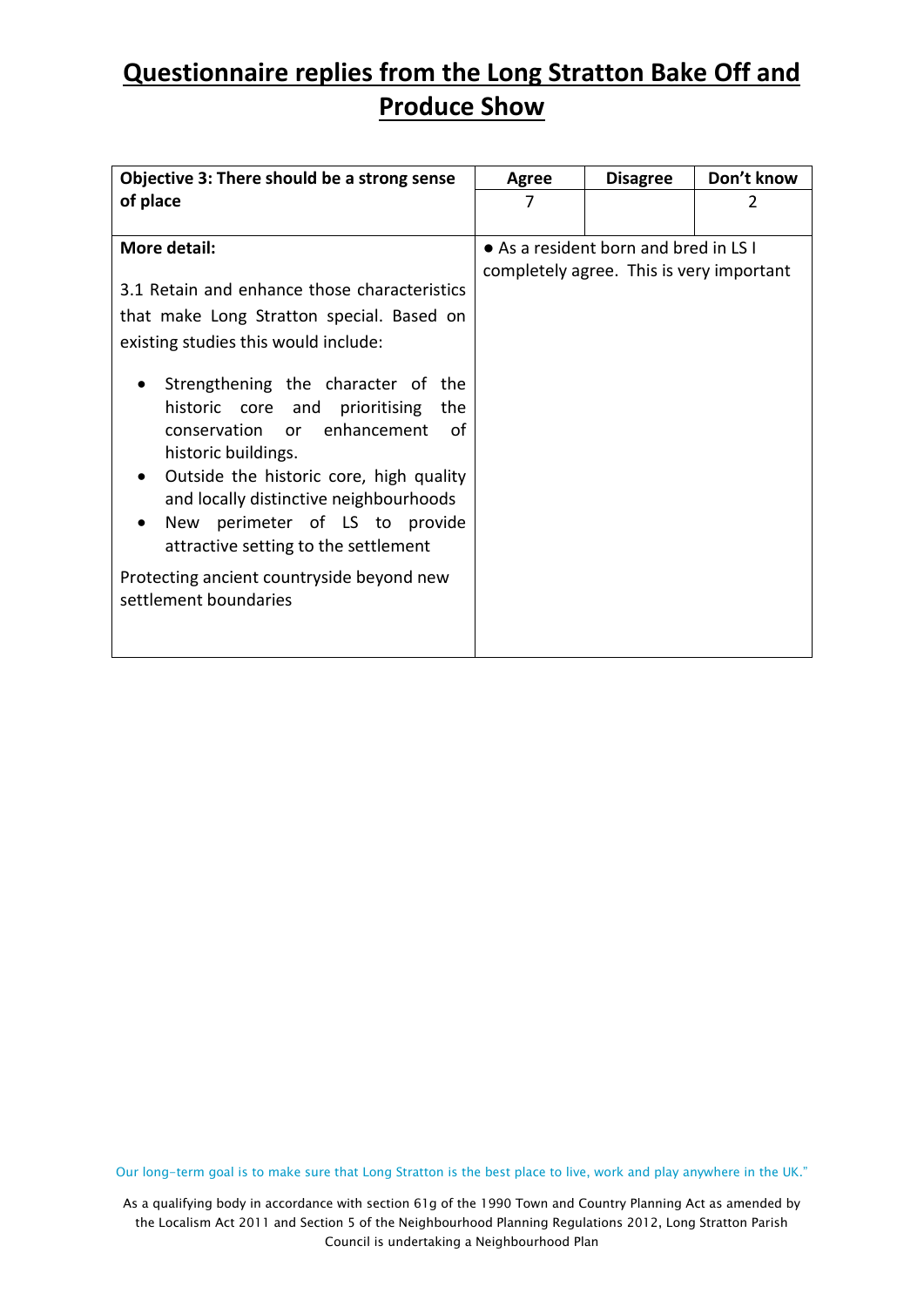| Objective 3: There should be a strong sense  | Agree | <b>Disagree</b>                          | Don't know |
|----------------------------------------------|-------|------------------------------------------|------------|
| of place                                     | 7     |                                          | 2          |
|                                              |       |                                          |            |
| More detail:                                 |       | • As a resident born and bred in LS I    |            |
|                                              |       | completely agree. This is very important |            |
| 3.1 Retain and enhance those characteristics |       |                                          |            |
| that make Long Stratton special. Based on    |       |                                          |            |
| existing studies this would include:         |       |                                          |            |
|                                              |       |                                          |            |
| Strengthening the character of the           |       |                                          |            |
| historic core and prioritising the           |       |                                          |            |
| conservation or enhancement<br>of            |       |                                          |            |
| historic buildings.                          |       |                                          |            |
| Outside the historic core, high quality      |       |                                          |            |
| and locally distinctive neighbourhoods       |       |                                          |            |
| New perimeter of LS to provide               |       |                                          |            |
| attractive setting to the settlement         |       |                                          |            |
| Protecting ancient countryside beyond new    |       |                                          |            |
| settlement boundaries                        |       |                                          |            |
|                                              |       |                                          |            |
|                                              |       |                                          |            |

Our long-term goal is to make sure that Long Stratton is the best place to live, work and play anywhere in the UK."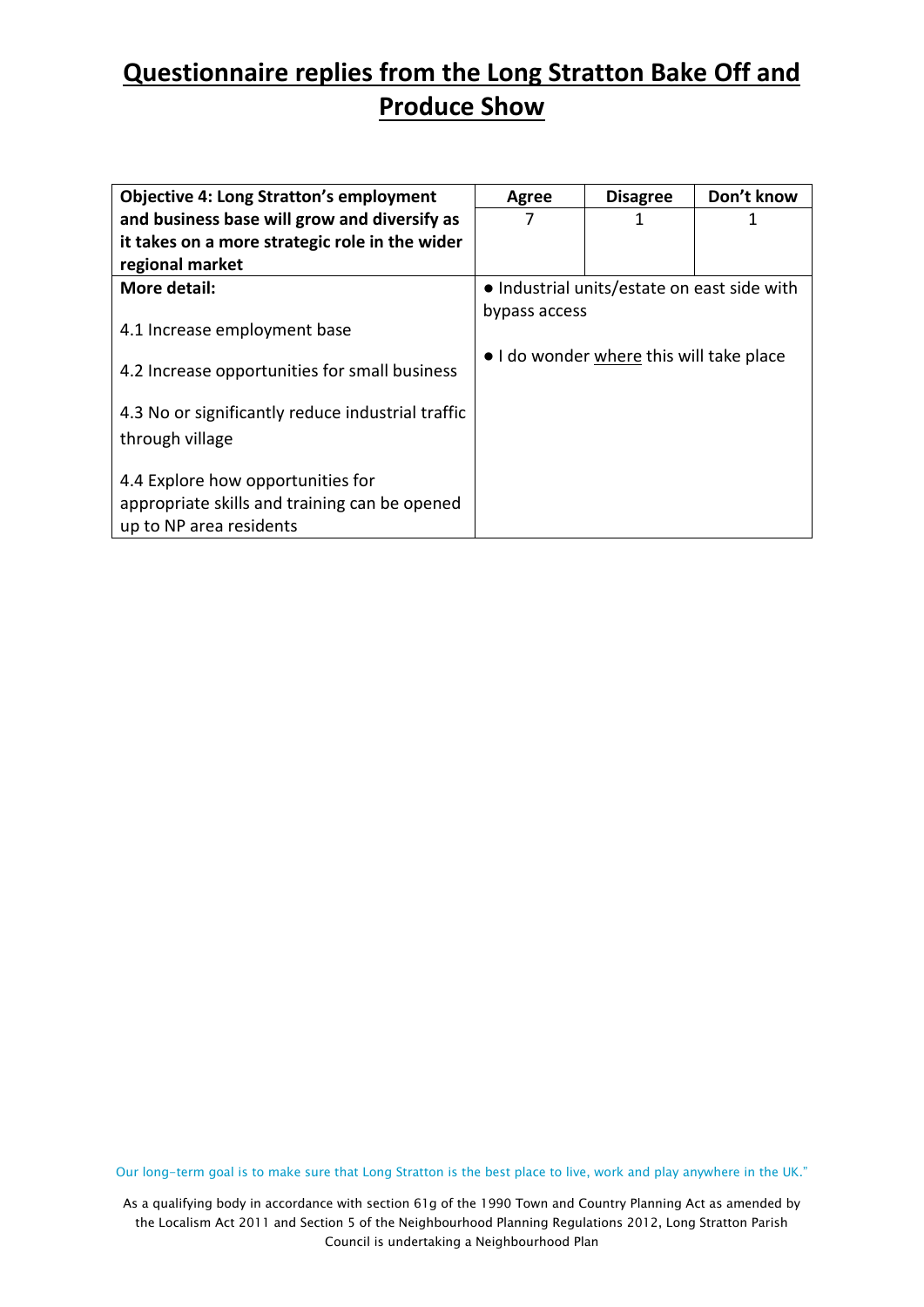| <b>Objective 4: Long Stratton's employment</b>                                                                | Agree         | <b>Disagree</b>                             | Don't know |
|---------------------------------------------------------------------------------------------------------------|---------------|---------------------------------------------|------------|
| and business base will grow and diversify as                                                                  | 7             | 1                                           | 1          |
| it takes on a more strategic role in the wider                                                                |               |                                             |            |
| regional market                                                                                               |               |                                             |            |
| More detail:                                                                                                  |               | • Industrial units/estate on east side with |            |
|                                                                                                               | bypass access |                                             |            |
| 4.1 Increase employment base                                                                                  |               |                                             |            |
| 4.2 Increase opportunities for small business                                                                 |               | • I do wonder where this will take place    |            |
| 4.3 No or significantly reduce industrial traffic                                                             |               |                                             |            |
| through village                                                                                               |               |                                             |            |
| 4.4 Explore how opportunities for<br>appropriate skills and training can be opened<br>up to NP area residents |               |                                             |            |

Our long-term goal is to make sure that Long Stratton is the best place to live, work and play anywhere in the UK."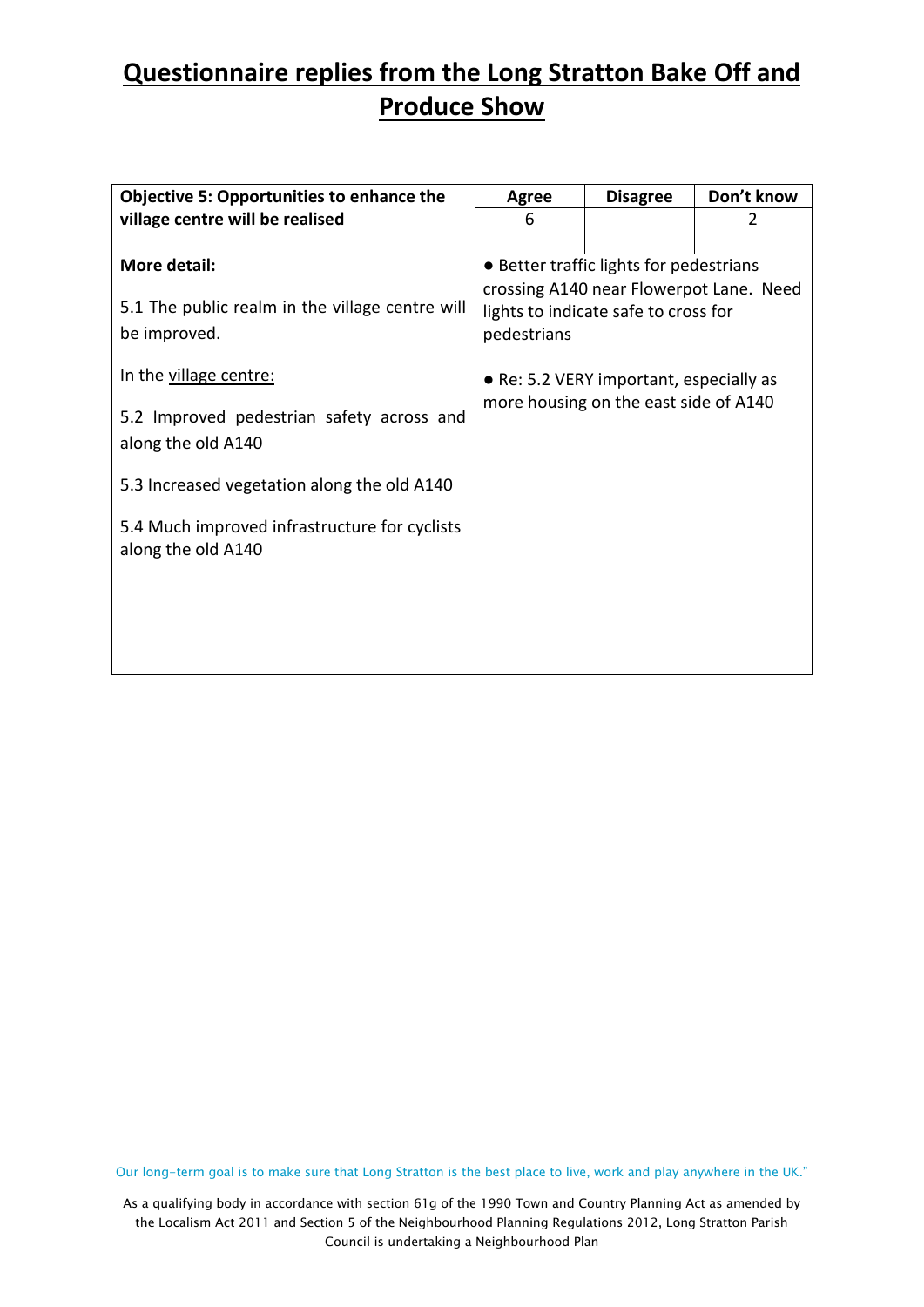| <b>Objective 5: Opportunities to enhance the</b>                    | Don't know<br><b>Disagree</b><br><b>Agree</b>                                                  |                                         |  |  |  |
|---------------------------------------------------------------------|------------------------------------------------------------------------------------------------|-----------------------------------------|--|--|--|
| village centre will be realised                                     | 6                                                                                              |                                         |  |  |  |
|                                                                     |                                                                                                |                                         |  |  |  |
| More detail:                                                        |                                                                                                | • Better traffic lights for pedestrians |  |  |  |
| 5.1 The public realm in the village centre will<br>be improved.     | crossing A140 near Flowerpot Lane. Need<br>lights to indicate safe to cross for<br>pedestrians |                                         |  |  |  |
| In the village centre:                                              |                                                                                                | • Re: 5.2 VERY important, especially as |  |  |  |
| 5.2 Improved pedestrian safety across and<br>along the old A140     | more housing on the east side of A140                                                          |                                         |  |  |  |
| 5.3 Increased vegetation along the old A140                         |                                                                                                |                                         |  |  |  |
| 5.4 Much improved infrastructure for cyclists<br>along the old A140 |                                                                                                |                                         |  |  |  |

Our long-term goal is to make sure that Long Stratton is the best place to live, work and play anywhere in the UK."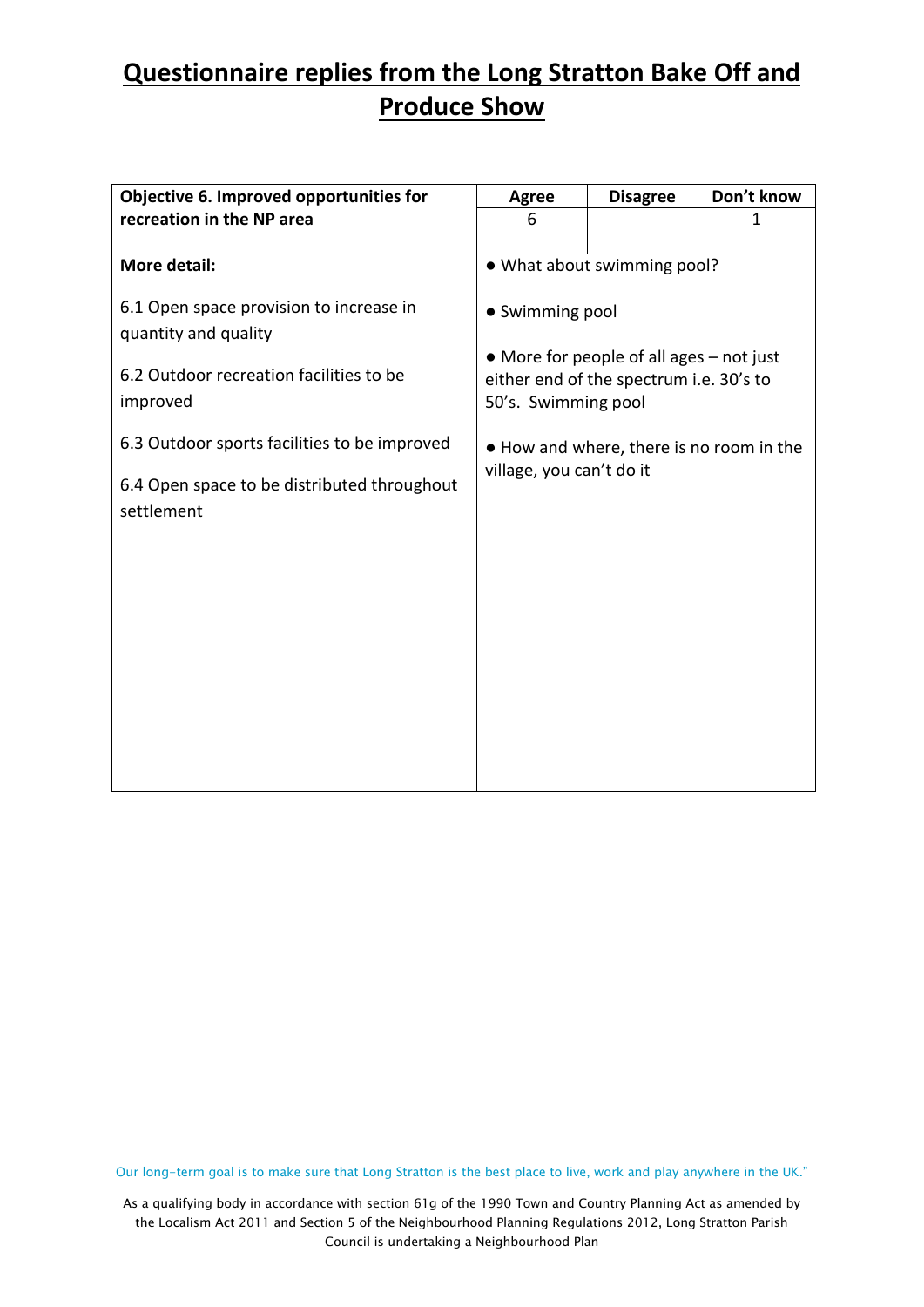| Objective 6. Improved opportunities for                         | <b>Agree</b>                                                         | <b>Disagree</b>                                                                     | Don't know   |  |  |
|-----------------------------------------------------------------|----------------------------------------------------------------------|-------------------------------------------------------------------------------------|--------------|--|--|
| recreation in the NP area                                       | 6                                                                    |                                                                                     | $\mathbf{1}$ |  |  |
|                                                                 |                                                                      |                                                                                     |              |  |  |
| <b>More detail:</b>                                             |                                                                      | • What about swimming pool?                                                         |              |  |  |
| 6.1 Open space provision to increase in<br>quantity and quality | • Swimming pool                                                      |                                                                                     |              |  |  |
| 6.2 Outdoor recreation facilities to be<br>improved             | 50's. Swimming pool                                                  | • More for people of all ages - not just<br>either end of the spectrum i.e. 30's to |              |  |  |
| 6.3 Outdoor sports facilities to be improved                    | . How and where, there is no room in the<br>village, you can't do it |                                                                                     |              |  |  |
| 6.4 Open space to be distributed throughout<br>settlement       |                                                                      |                                                                                     |              |  |  |
|                                                                 |                                                                      |                                                                                     |              |  |  |
|                                                                 |                                                                      |                                                                                     |              |  |  |
|                                                                 |                                                                      |                                                                                     |              |  |  |
|                                                                 |                                                                      |                                                                                     |              |  |  |
|                                                                 |                                                                      |                                                                                     |              |  |  |

Our long-term goal is to make sure that Long Stratton is the best place to live, work and play anywhere in the UK."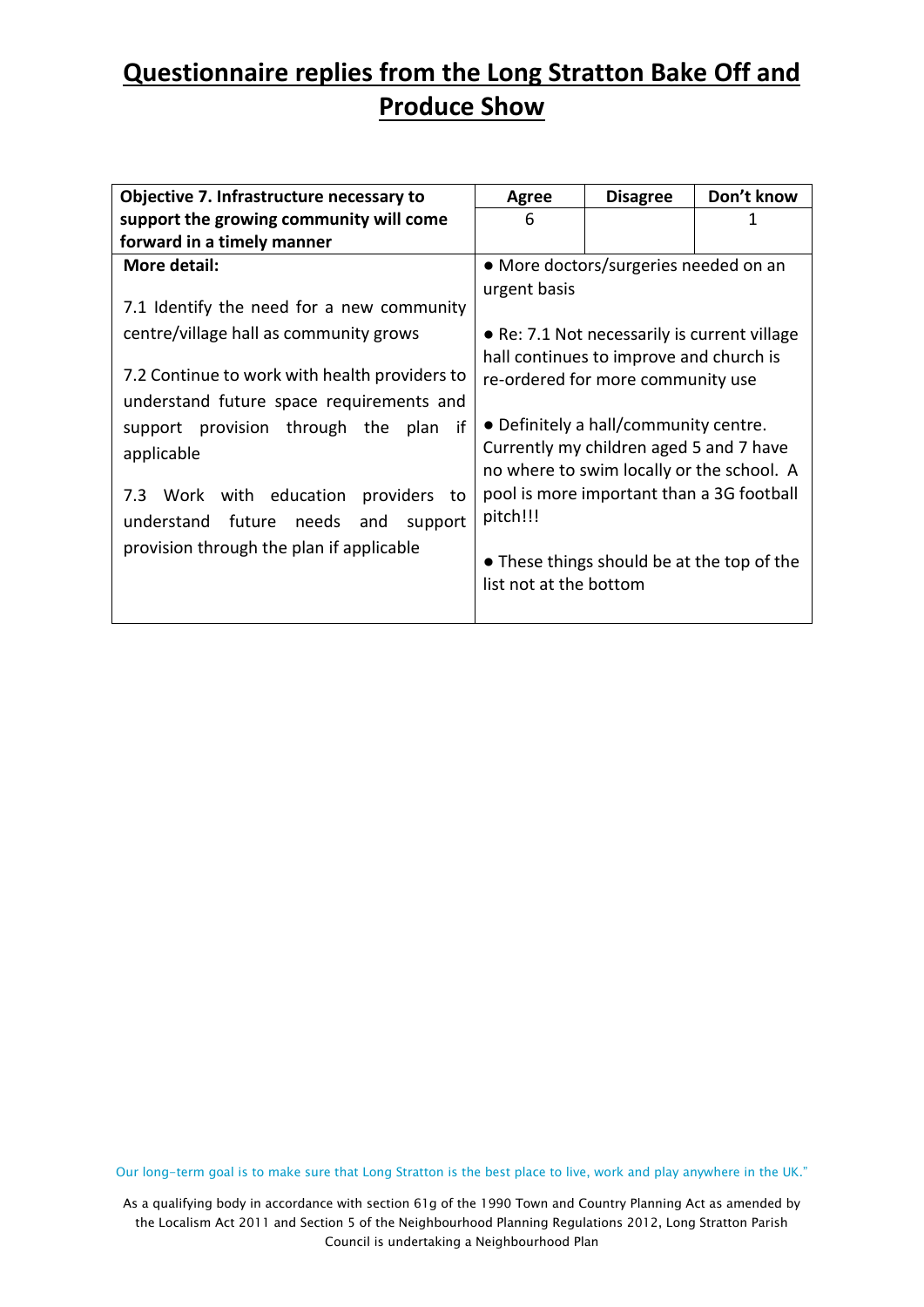| Objective 7. Infrastructure necessary to                                                  | Agree                                                                                   | <b>Disagree</b>                                                                                                               | Don't know |  |
|-------------------------------------------------------------------------------------------|-----------------------------------------------------------------------------------------|-------------------------------------------------------------------------------------------------------------------------------|------------|--|
| support the growing community will come                                                   | 6                                                                                       |                                                                                                                               | 1          |  |
| forward in a timely manner                                                                |                                                                                         |                                                                                                                               |            |  |
| More detail:                                                                              | urgent basis                                                                            | • More doctors/surgeries needed on an                                                                                         |            |  |
| 7.1 Identify the need for a new community                                                 |                                                                                         |                                                                                                                               |            |  |
| centre/village hall as community grows                                                    | • Re: 7.1 Not necessarily is current village<br>hall continues to improve and church is |                                                                                                                               |            |  |
| 7.2 Continue to work with health providers to<br>understand future space requirements and | re-ordered for more community use                                                       |                                                                                                                               |            |  |
| if<br>support provision through the<br>plan<br>applicable                                 |                                                                                         | • Definitely a hall/community centre.<br>Currently my children aged 5 and 7 have<br>no where to swim locally or the school. A |            |  |
| 7.3 Work with education providers to<br>understand<br>future needs<br>and<br>support      | pitch!!!                                                                                | pool is more important than a 3G football                                                                                     |            |  |
| provision through the plan if applicable                                                  | list not at the bottom                                                                  | • These things should be at the top of the                                                                                    |            |  |

Our long-term goal is to make sure that Long Stratton is the best place to live, work and play anywhere in the UK."